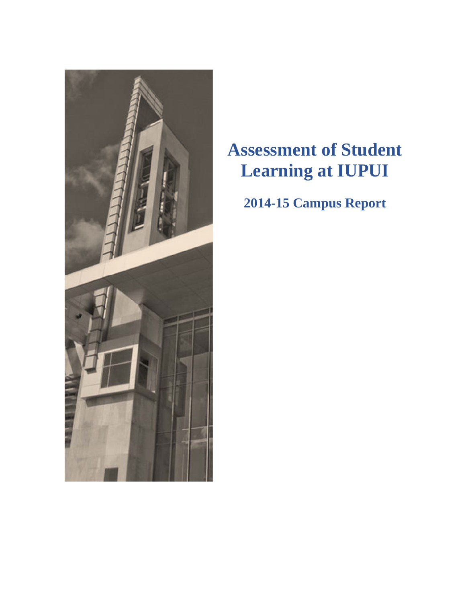

# **Assessment of Student Learning at IUPUI**

# **2014-15 Campus Report**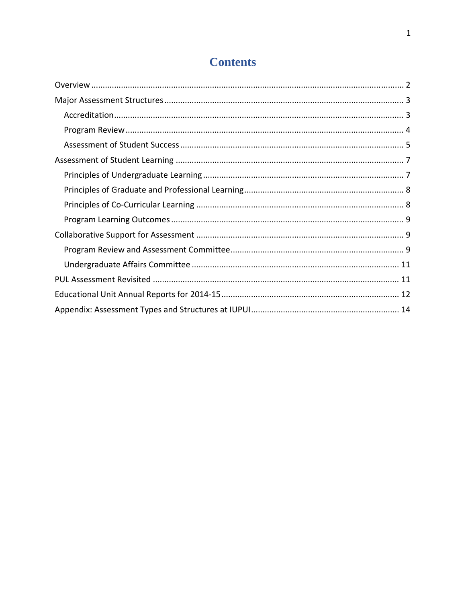# **Contents**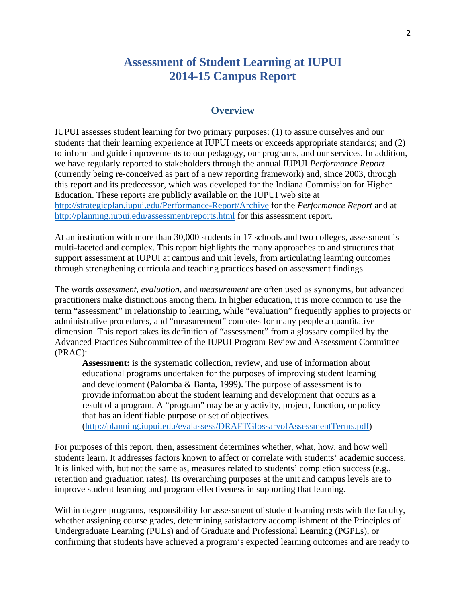# **Assessment of Student Learning at IUPUI 2014-15 Campus Report**

## **Overview**

IUPUI assesses student learning for two primary purposes: (1) to assure ourselves and our students that their learning experience at IUPUI meets or exceeds appropriate standards; and (2) to inform and guide improvements to our pedagogy, our programs, and our services. In addition, we have regularly reported to stakeholders through the annual IUPUI *Performance Report* (currently being re-conceived as part of a new reporting framework) and, since 2003, through this report and its predecessor, which was developed for the Indiana Commission for Higher Education. These reports are publicly available on the IUPUI web site at http://strategicplan.iupui.edu/Performance-Report/Archive for the *Performance Report* and at http://planning.iupui.edu/assessment/reports.html for this assessment report.

At an institution with more than 30,000 students in 17 schools and two colleges, assessment is multi-faceted and complex. This report highlights the many approaches to and structures that support assessment at IUPUI at campus and unit levels, from articulating learning outcomes through strengthening curricula and teaching practices based on assessment findings.

The words *assessment*, *evaluation*, and *measurement* are often used as synonyms, but advanced practitioners make distinctions among them. In higher education, it is more common to use the term "assessment" in relationship to learning, while "evaluation" frequently applies to projects or administrative procedures, and "measurement" connotes for many people a quantitative dimension. This report takes its definition of "assessment" from a glossary compiled by the Advanced Practices Subcommittee of the IUPUI Program Review and Assessment Committee (PRAC):

**Assessment:** is the systematic collection, review, and use of information about educational programs undertaken for the purposes of improving student learning and development (Palomba & Banta, 1999). The purpose of assessment is to provide information about the student learning and development that occurs as a result of a program. A "program" may be any activity, project, function, or policy that has an identifiable purpose or set of objectives.

(http://planning.iupui.edu/evalassess/DRAFTGlossaryofAssessmentTerms.pdf)

For purposes of this report, then, assessment determines whether, what, how, and how well students learn. It addresses factors known to affect or correlate with students' academic success. It is linked with, but not the same as, measures related to students' completion success (e.g., retention and graduation rates). Its overarching purposes at the unit and campus levels are to improve student learning and program effectiveness in supporting that learning.

Within degree programs, responsibility for assessment of student learning rests with the faculty, whether assigning course grades, determining satisfactory accomplishment of the Principles of Undergraduate Learning (PULs) and of Graduate and Professional Learning (PGPLs), or confirming that students have achieved a program's expected learning outcomes and are ready to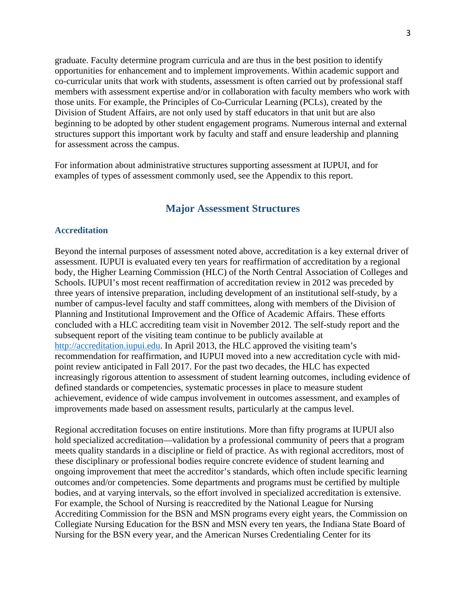graduate. Faculty determine program curricula and are thus in the best position to identify opportunities for enhancement and to implement improvements. Within academic support and co-curricular units that work with students, assessment is often carried out by professional staff members with assessment expertise and/or in collaboration with faculty members who work with those units. For example, the Principles of Co-Curricular Learning (PCLs), created by the Division of Student Affairs, are not only used by staff educators in that unit but are also beginning to be adopted by other student engagement programs. Numerous internal and external structures support this important work by faculty and staff and ensure leadership and planning for assessment across the campus.

For information about administrative structures supporting assessment at IUPUI, and for examples of types of assessment commonly used, see the Appendix to this report.

## **Major Assessment Structures**

#### **Accreditation**

Beyond the internal purposes of assessment noted above, accreditation is a key external driver of assessment. IUPUI is evaluated every ten years for reaffirmation of accreditation by a regional body, the Higher Learning Commission (HLC) of the North Central Association of Colleges and Schools. IUPUI's most recent reaffirmation of accreditation review in 2012 was preceded by three years of intensive preparation, including development of an institutional self-study, by a number of campus-level faculty and staff committees, along with members of the Division of Planning and Institutional Improvement and the Office of Academic Affairs. These efforts concluded with a HLC accrediting team visit in November 2012. The self-study report and the subsequent report of the visiting team continue to be publicly available at http://accreditation.iupui.edu. In April 2013, the HLC approved the visiting team's recommendation for reaffirmation, and IUPUI moved into a new accreditation cycle with midpoint review anticipated in Fall 2017. For the past two decades, the HLC has expected increasingly rigorous attention to assessment of student learning outcomes, including evidence of defined standards or competencies, systematic processes in place to measure student achievement, evidence of wide campus involvement in outcomes assessment, and examples of improvements made based on assessment results, particularly at the campus level.

Regional accreditation focuses on entire institutions. More than fifty programs at IUPUI also hold specialized accreditation—validation by a professional community of peers that a program meets quality standards in a discipline or field of practice. As with regional accreditors, most of these disciplinary or professional bodies require concrete evidence of student learning and ongoing improvement that meet the accreditor's standards, which often include specific learning outcomes and/or competencies. Some departments and programs must be certified by multiple bodies, and at varying intervals, so the effort involved in specialized accreditation is extensive. For example, the School of Nursing is reaccredited by the National League for Nursing Accrediting Commission for the BSN and MSN programs every eight years, the Commission on Collegiate Nursing Education for the BSN and MSN every ten years, the Indiana State Board of Nursing for the BSN every year, and the American Nurses Credentialing Center for its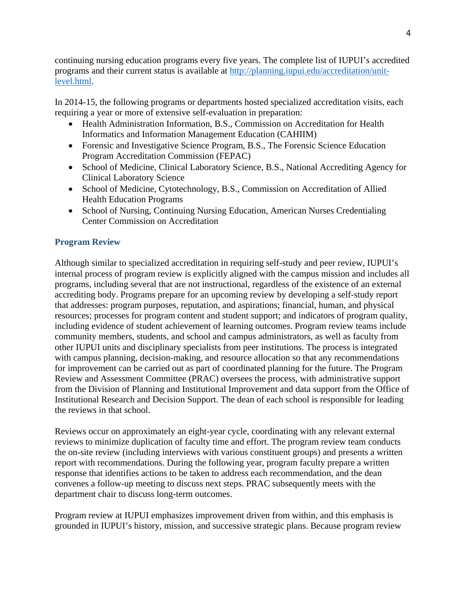continuing nursing education programs every five years. The complete list of IUPUI's accredited programs and their current status is available at http://planning.iupui.edu/accreditation/unitlevel.html.

In 2014-15, the following programs or departments hosted specialized accreditation visits, each requiring a year or more of extensive self-evaluation in preparation:

- Health Administration Information, B.S., Commission on Accreditation for Health Informatics and Information Management Education (CAHIIM)
- Forensic and Investigative Science Program, B.S., The Forensic Science Education Program Accreditation Commission (FEPAC)
- School of Medicine, Clinical Laboratory Science, B.S., National Accrediting Agency for Clinical Laboratory Science
- School of Medicine, Cytotechnology, B.S., Commission on Accreditation of Allied Health Education Programs
- School of Nursing, Continuing Nursing Education, American Nurses Credentialing Center Commission on Accreditation

## **Program Review**

Although similar to specialized accreditation in requiring self-study and peer review, IUPUI's internal process of program review is explicitly aligned with the campus mission and includes all programs, including several that are not instructional, regardless of the existence of an external accrediting body. Programs prepare for an upcoming review by developing a self-study report that addresses: program purposes, reputation, and aspirations; financial, human, and physical resources; processes for program content and student support; and indicators of program quality, including evidence of student achievement of learning outcomes. Program review teams include community members, students, and school and campus administrators, as well as faculty from other IUPUI units and disciplinary specialists from peer institutions. The process is integrated with campus planning, decision-making, and resource allocation so that any recommendations for improvement can be carried out as part of coordinated planning for the future. The Program Review and Assessment Committee (PRAC) oversees the process, with administrative support from the Division of Planning and Institutional Improvement and data support from the Office of Institutional Research and Decision Support. The dean of each school is responsible for leading the reviews in that school.

Reviews occur on approximately an eight-year cycle, coordinating with any relevant external reviews to minimize duplication of faculty time and effort. The program review team conducts the on-site review (including interviews with various constituent groups) and presents a written report with recommendations. During the following year, program faculty prepare a written response that identifies actions to be taken to address each recommendation, and the dean convenes a follow-up meeting to discuss next steps. PRAC subsequently meets with the department chair to discuss long-term outcomes.

Program review at IUPUI emphasizes improvement driven from within, and this emphasis is grounded in IUPUI's history, mission, and successive strategic plans. Because program review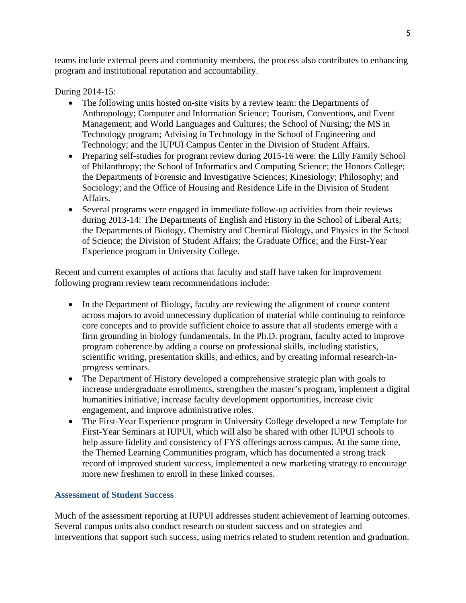teams include external peers and community members, the process also contributes to enhancing program and institutional reputation and accountability.

During 2014-15:

- The following units hosted on-site visits by a review team: the Departments of Anthropology; Computer and Information Science; Tourism, Conventions, and Event Management; and World Languages and Cultures; the School of Nursing; the MS in Technology program; Advising in Technology in the School of Engineering and Technology; and the IUPUI Campus Center in the Division of Student Affairs.
- Preparing self-studies for program review during 2015-16 were: the Lilly Family School of Philanthropy; the School of Informatics and Computing Science; the Honors College; the Departments of Forensic and Investigative Sciences; Kinesiology; Philosophy; and Sociology; and the Office of Housing and Residence Life in the Division of Student Affairs.
- Several programs were engaged in immediate follow-up activities from their reviews during 2013-14: The Departments of English and History in the School of Liberal Arts; the Departments of Biology, Chemistry and Chemical Biology, and Physics in the School of Science; the Division of Student Affairs; the Graduate Office; and the First-Year Experience program in University College.

Recent and current examples of actions that faculty and staff have taken for improvement following program review team recommendations include:

- In the Department of Biology, faculty are reviewing the alignment of course content across majors to avoid unnecessary duplication of material while continuing to reinforce core concepts and to provide sufficient choice to assure that all students emerge with a firm grounding in biology fundamentals. In the Ph.D. program, faculty acted to improve program coherence by adding a course on professional skills, including statistics, scientific writing, presentation skills, and ethics, and by creating informal research-inprogress seminars.
- The Department of History developed a comprehensive strategic plan with goals to increase undergraduate enrollments, strengthen the master's program, implement a digital humanities initiative, increase faculty development opportunities, increase civic engagement, and improve administrative roles.
- The First-Year Experience program in University College developed a new Template for First-Year Seminars at IUPUI, which will also be shared with other IUPUI schools to help assure fidelity and consistency of FYS offerings across campus. At the same time, the Themed Learning Communities program, which has documented a strong track record of improved student success, implemented a new marketing strategy to encourage more new freshmen to enroll in these linked courses.

## **Assessment of Student Success**

Much of the assessment reporting at IUPUI addresses student achievement of learning outcomes. Several campus units also conduct research on student success and on strategies and interventions that support such success, using metrics related to student retention and graduation.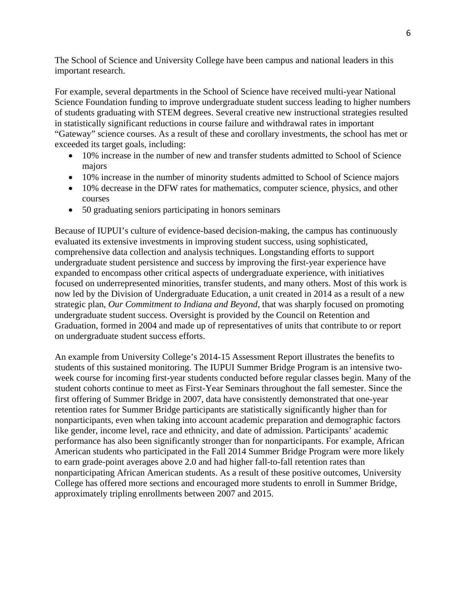The School of Science and University College have been campus and national leaders in this important research.

For example, several departments in the School of Science have received multi-year National Science Foundation funding to improve undergraduate student success leading to higher numbers of students graduating with STEM degrees. Several creative new instructional strategies resulted in statistically significant reductions in course failure and withdrawal rates in important "Gateway" science courses. As a result of these and corollary investments, the school has met or exceeded its target goals, including:

- 10% increase in the number of new and transfer students admitted to School of Science majors
- 10% increase in the number of minority students admitted to School of Science majors
- 10% decrease in the DFW rates for mathematics, computer science, physics, and other courses
- 50 graduating seniors participating in honors seminars

Because of IUPUI's culture of evidence-based decision-making, the campus has continuously evaluated its extensive investments in improving student success, using sophisticated, comprehensive data collection and analysis techniques. Longstanding efforts to support undergraduate student persistence and success by improving the first-year experience have expanded to encompass other critical aspects of undergraduate experience, with initiatives focused on underrepresented minorities, transfer students, and many others. Most of this work is now led by the Division of Undergraduate Education, a unit created in 2014 as a result of a new strategic plan, *Our Commitment to Indiana and Beyond*, that was sharply focused on promoting undergraduate student success. Oversight is provided by the Council on Retention and Graduation, formed in 2004 and made up of representatives of units that contribute to or report on undergraduate student success efforts.

An example from University College's 2014-15 Assessment Report illustrates the benefits to students of this sustained monitoring. The IUPUI Summer Bridge Program is an intensive twoweek course for incoming first-year students conducted before regular classes begin. Many of the student cohorts continue to meet as First-Year Seminars throughout the fall semester. Since the first offering of Summer Bridge in 2007, data have consistently demonstrated that one-year retention rates for Summer Bridge participants are statistically significantly higher than for nonparticipants, even when taking into account academic preparation and demographic factors like gender, income level, race and ethnicity, and date of admission. Participants' academic performance has also been significantly stronger than for nonparticipants. For example, African American students who participated in the Fall 2014 Summer Bridge Program were more likely to earn grade-point averages above 2.0 and had higher fall-to-fall retention rates than nonparticipating African American students. As a result of these positive outcomes, University College has offered more sections and encouraged more students to enroll in Summer Bridge, approximately tripling enrollments between 2007 and 2015.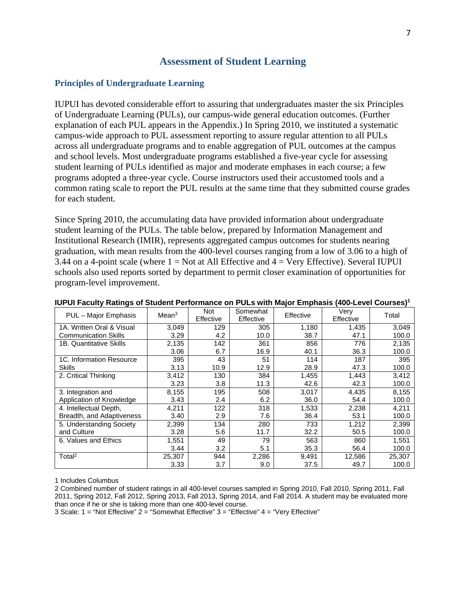## **Assessment of Student Learning**

## **Principles of Undergraduate Learning**

IUPUI has devoted considerable effort to assuring that undergraduates master the six Principles of Undergraduate Learning (PULs), our campus-wide general education outcomes. (Further explanation of each PUL appears in the Appendix.) In Spring 2010, we instituted a systematic campus-wide approach to PUL assessment reporting to assure regular attention to all PULs across all undergraduate programs and to enable aggregation of PUL outcomes at the campus and school levels. Most undergraduate programs established a five-year cycle for assessing student learning of PULs identified as major and moderate emphases in each course; a few programs adopted a three-year cycle. Course instructors used their accustomed tools and a common rating scale to report the PUL results at the same time that they submitted course grades for each student.

Since Spring 2010, the accumulating data have provided information about undergraduate student learning of the PULs. The table below, prepared by Information Management and Institutional Research (IMIR), represents aggregated campus outcomes for students nearing graduation, with mean results from the 400-level courses ranging from a low of 3.06 to a high of 3.44 on a 4-point scale (where  $1 = Not$  at All Effective and  $4 = Very$  Effective). Several IUPUI schools also used reports sorted by department to permit closer examination of opportunities for program-level improvement.

| PUL - Major Emphasis        | Mean <sup>3</sup> | <b>Not</b><br>Effective | Somewhat<br>Effective | Effective | Verv<br>Effective | Total  |
|-----------------------------|-------------------|-------------------------|-----------------------|-----------|-------------------|--------|
| 1A. Written Oral & Visual   | 3,049             | 129                     | 305                   | 1,180     | 1,435             | 3,049  |
| <b>Communication Skills</b> | 3.29              | 4.2                     | 10.0                  | 38.7      | 47.1              | 100.0  |
| 1B. Quantitative Skills     | 2,135             | 142                     | 361                   | 856       | 776               | 2,135  |
|                             | 3.06              | 6.7                     | 16.9                  | 40.1      | 36.3              | 100.0  |
| 1C. Information Resource    | 395               | 43                      | 51                    | 114       | 187               | 395    |
| Skills                      | 3.13              | 10.9                    | 12.9                  | 28.9      | 47.3              | 100.0  |
| 2. Critical Thinking        | 3,412             | 130                     | 384                   | 1,455     | 1.443             | 3,412  |
|                             | 3.23              | 3.8                     | 11.3                  | 42.6      | 42.3              | 100.0  |
| 3. Integration and          | 8,155             | 195                     | 508                   | 3,017     | 4,435             | 8,155  |
| Application of Knowledge    | 3.43              | 2.4                     | 6.2                   | 36.0      | 54.4              | 100.0  |
| 4. Intellectual Depth,      | 4,211             | 122                     | 318                   | 1,533     | 2,238             | 4,211  |
| Breadth, and Adaptiveness   | 3.40              | 2.9                     | 7.6                   | 36.4      | 53.1              | 100.0  |
| 5. Understanding Society    | 2,399             | 134                     | 280                   | 733       | 1,212             | 2,399  |
| and Culture                 | 3.28              | 5.6                     | 11.7                  | 32.2      | 50.5              | 100.0  |
| 6. Values and Ethics        | 1,551             | 49                      | 79                    | 563       | 860               | 1,551  |
|                             | 3.44              | 3.2                     | 5.1                   | 35.3      | 56.4              | 100.0  |
| Total <sup>2</sup>          | 25,307            | 944                     | 2,286                 | 9,491     | 12,586            | 25,307 |
|                             | 3.33              | 3.7                     | 9.0                   | 37.5      | 49.7              | 100.0  |

|  |  | IUPUI Faculty Ratings of Student Performance on PULs with Major Emphasis (400-Level Courses) $^{\rm 1}$ |  |  |
|--|--|---------------------------------------------------------------------------------------------------------|--|--|
|--|--|---------------------------------------------------------------------------------------------------------|--|--|

1 Includes Columbus

2 Combined number of student ratings in all 400-level courses sampled in Spring 2010, Fall 2010, Spring 2011, Fall 2011, Spring 2012, Fall 2012, Spring 2013, Fall 2013, Spring 2014, and Fall 2014. A student may be evaluated more than once if he or she is taking more than one 400-level course.

3 Scale: 1 = "Not Effective" 2 = "Somewhat Effective" 3 = "Effective" 4 = "Very Effective"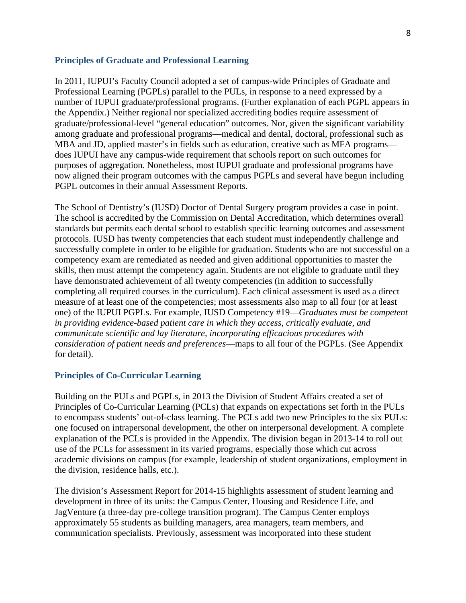#### **Principles of Graduate and Professional Learning**

In 2011, IUPUI's Faculty Council adopted a set of campus-wide Principles of Graduate and Professional Learning (PGPLs) parallel to the PULs, in response to a need expressed by a number of IUPUI graduate/professional programs. (Further explanation of each PGPL appears in the Appendix.) Neither regional nor specialized accrediting bodies require assessment of graduate/professional-level "general education" outcomes. Nor, given the significant variability among graduate and professional programs—medical and dental, doctoral, professional such as MBA and JD, applied master's in fields such as education, creative such as MFA programs does IUPUI have any campus-wide requirement that schools report on such outcomes for purposes of aggregation. Nonetheless, most IUPUI graduate and professional programs have now aligned their program outcomes with the campus PGPLs and several have begun including PGPL outcomes in their annual Assessment Reports.

The School of Dentistry's (IUSD) Doctor of Dental Surgery program provides a case in point. The school is accredited by the Commission on Dental Accreditation, which determines overall standards but permits each dental school to establish specific learning outcomes and assessment protocols. IUSD has twenty competencies that each student must independently challenge and successfully complete in order to be eligible for graduation. Students who are not successful on a competency exam are remediated as needed and given additional opportunities to master the skills, then must attempt the competency again. Students are not eligible to graduate until they have demonstrated achievement of all twenty competencies (in addition to successfully completing all required courses in the curriculum). Each clinical assessment is used as a direct measure of at least one of the competencies; most assessments also map to all four (or at least one) of the IUPUI PGPLs. For example, IUSD Competency #19—*Graduates must be competent in providing evidence-based patient care in which they access, critically evaluate, and communicate scientific and lay literature, incorporating efficacious procedures with consideration of patient needs and preferences*—maps to all four of the PGPLs. (See Appendix for detail).

#### **Principles of Co-Curricular Learning**

Building on the PULs and PGPLs, in 2013 the Division of Student Affairs created a set of Principles of Co-Curricular Learning (PCLs) that expands on expectations set forth in the PULs to encompass students' out-of-class learning. The PCLs add two new Principles to the six PULs: one focused on intrapersonal development, the other on interpersonal development. A complete explanation of the PCLs is provided in the Appendix. The division began in 2013-14 to roll out use of the PCLs for assessment in its varied programs, especially those which cut across academic divisions on campus (for example, leadership of student organizations, employment in the division, residence halls, etc.).

The division's Assessment Report for 2014-15 highlights assessment of student learning and development in three of its units: the Campus Center, Housing and Residence Life, and JagVenture (a three-day pre-college transition program). The Campus Center employs approximately 55 students as building managers, area managers, team members, and communication specialists. Previously, assessment was incorporated into these student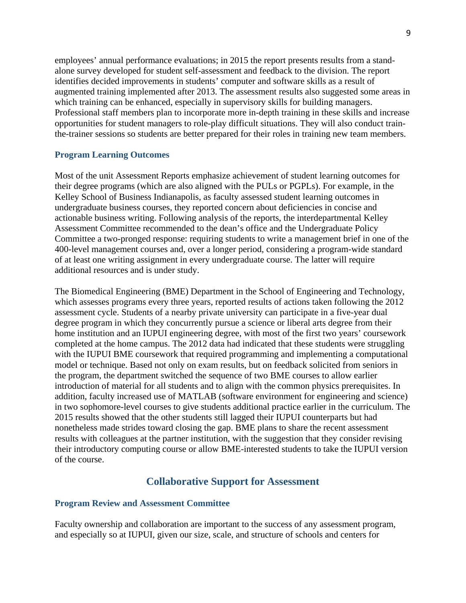employees' annual performance evaluations; in 2015 the report presents results from a standalone survey developed for student self-assessment and feedback to the division. The report identifies decided improvements in students' computer and software skills as a result of augmented training implemented after 2013. The assessment results also suggested some areas in which training can be enhanced, especially in supervisory skills for building managers. Professional staff members plan to incorporate more in-depth training in these skills and increase opportunities for student managers to role-play difficult situations. They will also conduct trainthe-trainer sessions so students are better prepared for their roles in training new team members.

#### **Program Learning Outcomes**

Most of the unit Assessment Reports emphasize achievement of student learning outcomes for their degree programs (which are also aligned with the PULs or PGPLs). For example, in the Kelley School of Business Indianapolis, as faculty assessed student learning outcomes in undergraduate business courses, they reported concern about deficiencies in concise and actionable business writing. Following analysis of the reports, the interdepartmental Kelley Assessment Committee recommended to the dean's office and the Undergraduate Policy Committee a two-pronged response: requiring students to write a management brief in one of the 400-level management courses and, over a longer period, considering a program-wide standard of at least one writing assignment in every undergraduate course. The latter will require additional resources and is under study.

The Biomedical Engineering (BME) Department in the School of Engineering and Technology, which assesses programs every three years, reported results of actions taken following the 2012 assessment cycle. Students of a nearby private university can participate in a five-year dual degree program in which they concurrently pursue a science or liberal arts degree from their home institution and an IUPUI engineering degree, with most of the first two years' coursework completed at the home campus. The 2012 data had indicated that these students were struggling with the IUPUI BME coursework that required programming and implementing a computational model or technique. Based not only on exam results, but on feedback solicited from seniors in the program, the department switched the sequence of two BME courses to allow earlier introduction of material for all students and to align with the common physics prerequisites. In addition, faculty increased use of MATLAB (software environment for engineering and science) in two sophomore-level courses to give students additional practice earlier in the curriculum. The 2015 results showed that the other students still lagged their IUPUI counterparts but had nonetheless made strides toward closing the gap. BME plans to share the recent assessment results with colleagues at the partner institution, with the suggestion that they consider revising their introductory computing course or allow BME-interested students to take the IUPUI version of the course.

## **Collaborative Support for Assessment**

#### **Program Review and Assessment Committee**

Faculty ownership and collaboration are important to the success of any assessment program, and especially so at IUPUI, given our size, scale, and structure of schools and centers for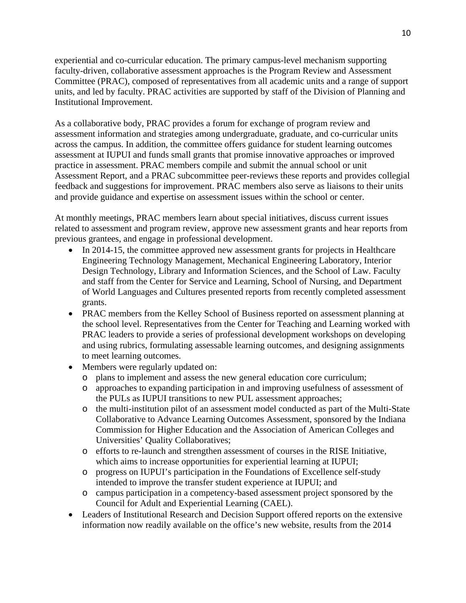experiential and co-curricular education. The primary campus-level mechanism supporting faculty-driven, collaborative assessment approaches is the Program Review and Assessment Committee (PRAC), composed of representatives from all academic units and a range of support units, and led by faculty. PRAC activities are supported by staff of the Division of Planning and Institutional Improvement.

As a collaborative body, PRAC provides a forum for exchange of program review and assessment information and strategies among undergraduate, graduate, and co-curricular units across the campus. In addition, the committee offers guidance for student learning outcomes assessment at IUPUI and funds small grants that promise innovative approaches or improved practice in assessment. PRAC members compile and submit the annual school or unit Assessment Report, and a PRAC subcommittee peer-reviews these reports and provides collegial feedback and suggestions for improvement. PRAC members also serve as liaisons to their units and provide guidance and expertise on assessment issues within the school or center.

At monthly meetings, PRAC members learn about special initiatives, discuss current issues related to assessment and program review, approve new assessment grants and hear reports from previous grantees, and engage in professional development.

- In 2014-15, the committee approved new assessment grants for projects in Healthcare Engineering Technology Management, Mechanical Engineering Laboratory, Interior Design Technology, Library and Information Sciences, and the School of Law. Faculty and staff from the Center for Service and Learning, School of Nursing, and Department of World Languages and Cultures presented reports from recently completed assessment grants.
- PRAC members from the Kelley School of Business reported on assessment planning at the school level. Representatives from the Center for Teaching and Learning worked with PRAC leaders to provide a series of professional development workshops on developing and using rubrics, formulating assessable learning outcomes, and designing assignments to meet learning outcomes.
- Members were regularly updated on:
	- o plans to implement and assess the new general education core curriculum;
	- o approaches to expanding participation in and improving usefulness of assessment of the PULs as IUPUI transitions to new PUL assessment approaches;
	- o the multi-institution pilot of an assessment model conducted as part of the Multi-State Collaborative to Advance Learning Outcomes Assessment, sponsored by the Indiana Commission for Higher Education and the Association of American Colleges and Universities' Quality Collaboratives;
	- o efforts to re-launch and strengthen assessment of courses in the RISE Initiative, which aims to increase opportunities for experiential learning at IUPUI;
	- o progress on IUPUI's participation in the Foundations of Excellence self-study intended to improve the transfer student experience at IUPUI; and
	- o campus participation in a competency-based assessment project sponsored by the Council for Adult and Experiential Learning (CAEL).
- Leaders of Institutional Research and Decision Support offered reports on the extensive information now readily available on the office's new website, results from the 2014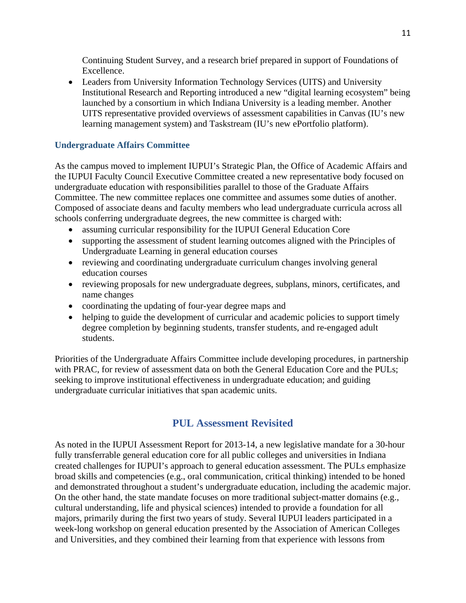Continuing Student Survey, and a research brief prepared in support of Foundations of Excellence.

 Leaders from University Information Technology Services (UITS) and University Institutional Research and Reporting introduced a new "digital learning ecosystem" being launched by a consortium in which Indiana University is a leading member. Another UITS representative provided overviews of assessment capabilities in Canvas (IU's new learning management system) and Taskstream (IU's new ePortfolio platform).

## **Undergraduate Affairs Committee**

As the campus moved to implement IUPUI's Strategic Plan, the Office of Academic Affairs and the IUPUI Faculty Council Executive Committee created a new representative body focused on undergraduate education with responsibilities parallel to those of the Graduate Affairs Committee. The new committee replaces one committee and assumes some duties of another. Composed of associate deans and faculty members who lead undergraduate curricula across all schools conferring undergraduate degrees, the new committee is charged with:

- assuming curricular responsibility for the IUPUI General Education Core
- supporting the assessment of student learning outcomes aligned with the Principles of Undergraduate Learning in general education courses
- reviewing and coordinating undergraduate curriculum changes involving general education courses
- reviewing proposals for new undergraduate degrees, subplans, minors, certificates, and name changes
- coordinating the updating of four-year degree maps and
- helping to guide the development of curricular and academic policies to support timely degree completion by beginning students, transfer students, and re-engaged adult students.

Priorities of the Undergraduate Affairs Committee include developing procedures, in partnership with PRAC, for review of assessment data on both the General Education Core and the PULs; seeking to improve institutional effectiveness in undergraduate education; and guiding undergraduate curricular initiatives that span academic units.

## **PUL Assessment Revisited**

As noted in the IUPUI Assessment Report for 2013-14, a new legislative mandate for a 30-hour fully transferrable general education core for all public colleges and universities in Indiana created challenges for IUPUI's approach to general education assessment. The PULs emphasize broad skills and competencies (e.g., oral communication, critical thinking) intended to be honed and demonstrated throughout a student's undergraduate education, including the academic major. On the other hand, the state mandate focuses on more traditional subject-matter domains (e.g., cultural understanding, life and physical sciences) intended to provide a foundation for all majors, primarily during the first two years of study. Several IUPUI leaders participated in a week-long workshop on general education presented by the Association of American Colleges and Universities, and they combined their learning from that experience with lessons from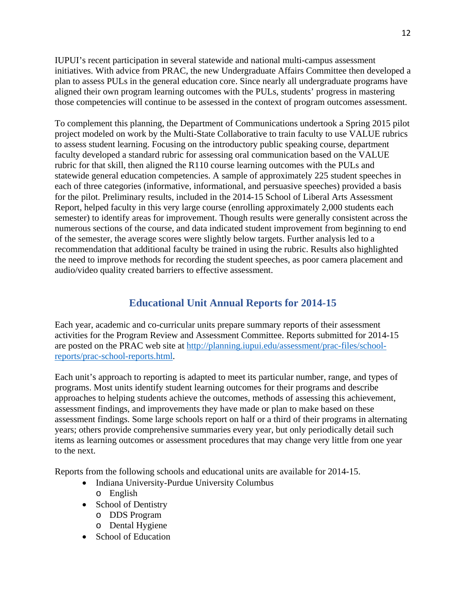IUPUI's recent participation in several statewide and national multi-campus assessment initiatives. With advice from PRAC, the new Undergraduate Affairs Committee then developed a plan to assess PULs in the general education core. Since nearly all undergraduate programs have aligned their own program learning outcomes with the PULs, students' progress in mastering those competencies will continue to be assessed in the context of program outcomes assessment.

To complement this planning, the Department of Communications undertook a Spring 2015 pilot project modeled on work by the Multi-State Collaborative to train faculty to use VALUE rubrics to assess student learning. Focusing on the introductory public speaking course, department faculty developed a standard rubric for assessing oral communication based on the VALUE rubric for that skill, then aligned the R110 course learning outcomes with the PULs and statewide general education competencies. A sample of approximately 225 student speeches in each of three categories (informative, informational, and persuasive speeches) provided a basis for the pilot. Preliminary results, included in the 2014-15 School of Liberal Arts Assessment Report, helped faculty in this very large course (enrolling approximately 2,000 students each semester) to identify areas for improvement. Though results were generally consistent across the numerous sections of the course, and data indicated student improvement from beginning to end of the semester, the average scores were slightly below targets. Further analysis led to a recommendation that additional faculty be trained in using the rubric. Results also highlighted the need to improve methods for recording the student speeches, as poor camera placement and audio/video quality created barriers to effective assessment.

## **Educational Unit Annual Reports for 2014-15**

Each year, academic and co-curricular units prepare summary reports of their assessment activities for the Program Review and Assessment Committee. Reports submitted for 2014-15 are posted on the PRAC web site at http://planning.iupui.edu/assessment/prac-files/schoolreports/prac-school-reports.html.

Each unit's approach to reporting is adapted to meet its particular number, range, and types of programs. Most units identify student learning outcomes for their programs and describe approaches to helping students achieve the outcomes, methods of assessing this achievement, assessment findings, and improvements they have made or plan to make based on these assessment findings. Some large schools report on half or a third of their programs in alternating years; others provide comprehensive summaries every year, but only periodically detail such items as learning outcomes or assessment procedures that may change very little from one year to the next.

Reports from the following schools and educational units are available for 2014-15.

- Indiana University-Purdue University Columbus
	- o English
- School of Dentistry
	- o DDS Program
	- o Dental Hygiene
- School of Education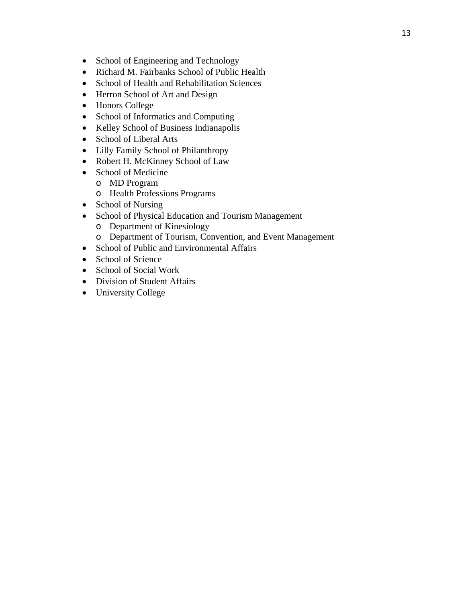- School of Engineering and Technology
- Richard M. Fairbanks School of Public Health
- School of Health and Rehabilitation Sciences
- Herron School of Art and Design
- Honors College
- School of Informatics and Computing
- Kelley School of Business Indianapolis
- School of Liberal Arts
- Lilly Family School of Philanthropy
- Robert H. McKinney School of Law
- School of Medicine
	- o MD Program
	- o Health Professions Programs
- School of Nursing
- School of Physical Education and Tourism Management
	- o Department of Kinesiology
	- o Department of Tourism, Convention, and Event Management
- School of Public and Environmental Affairs
- School of Science
- School of Social Work
- Division of Student Affairs
- University College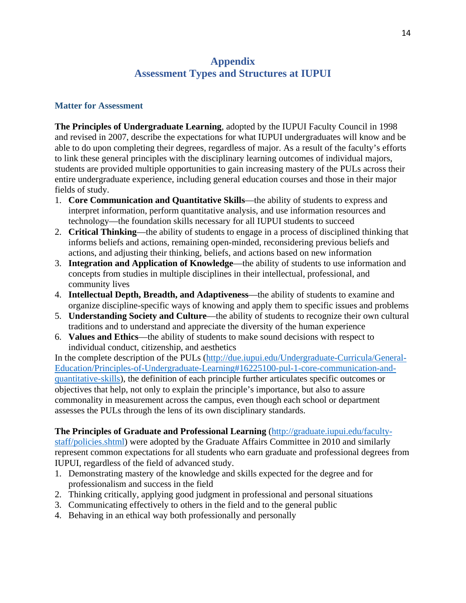## **Appendix Assessment Types and Structures at IUPUI**

### **Matter for Assessment**

**The Principles of Undergraduate Learning**, adopted by the IUPUI Faculty Council in 1998 and revised in 2007, describe the expectations for what IUPUI undergraduates will know and be able to do upon completing their degrees, regardless of major. As a result of the faculty's efforts to link these general principles with the disciplinary learning outcomes of individual majors, students are provided multiple opportunities to gain increasing mastery of the PULs across their entire undergraduate experience, including general education courses and those in their major fields of study.

- 1. **Core Communication and Quantitative Skills**—the ability of students to express and interpret information, perform quantitative analysis, and use information resources and technology—the foundation skills necessary for all IUPUI students to succeed
- 2. **Critical Thinking**—the ability of students to engage in a process of disciplined thinking that informs beliefs and actions, remaining open-minded, reconsidering previous beliefs and actions, and adjusting their thinking, beliefs, and actions based on new information
- 3. **Integration and Application of Knowledge**—the ability of students to use information and concepts from studies in multiple disciplines in their intellectual, professional, and community lives
- 4. **Intellectual Depth, Breadth, and Adaptiveness**—the ability of students to examine and organize discipline-specific ways of knowing and apply them to specific issues and problems
- 5. **Understanding Society and Culture**—the ability of students to recognize their own cultural traditions and to understand and appreciate the diversity of the human experience
- 6. **Values and Ethics**—the ability of students to make sound decisions with respect to individual conduct, citizenship, and aesthetics

In the complete description of the PULs (http://due.iupui.edu/Undergraduate-Curricula/General-Education/Principles-of-Undergraduate-Learning#16225100-pul-1-core-communication-andquantitative-skills), the definition of each principle further articulates specific outcomes or objectives that help, not only to explain the principle's importance, but also to assure commonality in measurement across the campus, even though each school or department assesses the PULs through the lens of its own disciplinary standards.

**The Principles of Graduate and Professional Learning** (http://graduate.iupui.edu/facultystaff/policies.shtml) were adopted by the Graduate Affairs Committee in 2010 and similarly represent common expectations for all students who earn graduate and professional degrees from IUPUI, regardless of the field of advanced study.

- 1. Demonstrating mastery of the knowledge and skills expected for the degree and for professionalism and success in the field
- 2. Thinking critically, applying good judgment in professional and personal situations
- 3. Communicating effectively to others in the field and to the general public
- 4. Behaving in an ethical way both professionally and personally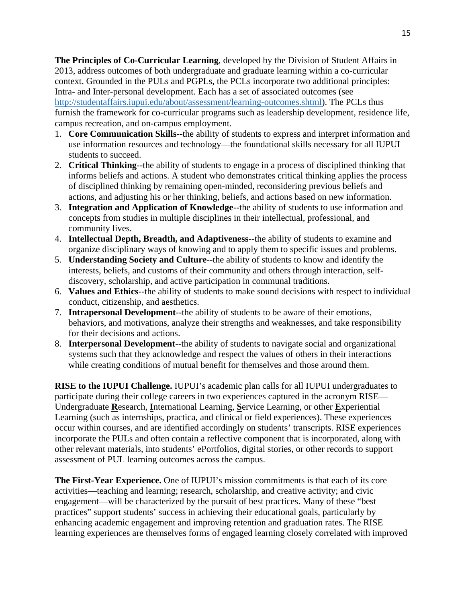**The Principles of Co-Curricular Learning**, developed by the Division of Student Affairs in 2013, address outcomes of both undergraduate and graduate learning within a co-curricular context. Grounded in the PULs and PGPLs, the PCLs incorporate two additional principles: Intra- and Inter-personal development. Each has a set of associated outcomes (see http://studentaffairs.iupui.edu/about/assessment/learning-outcomes.shtml). The PCLs thus furnish the framework for co-curricular programs such as leadership development, residence life, campus recreation, and on-campus employment.

- 1. **Core Communication Skills**--the ability of students to express and interpret information and use information resources and technology—the foundational skills necessary for all IUPUI students to succeed.
- 2. **Critical Thinking**--the ability of students to engage in a process of disciplined thinking that informs beliefs and actions. A student who demonstrates critical thinking applies the process of disciplined thinking by remaining open-minded, reconsidering previous beliefs and actions, and adjusting his or her thinking, beliefs, and actions based on new information.
- 3. **Integration and Application of Knowledge**--the ability of students to use information and concepts from studies in multiple disciplines in their intellectual, professional, and community lives.
- 4. **Intellectual Depth, Breadth, and Adaptiveness**--the ability of students to examine and organize disciplinary ways of knowing and to apply them to specific issues and problems.
- 5. **Understanding Society and Culture**--the ability of students to know and identify the interests, beliefs, and customs of their community and others through interaction, selfdiscovery, scholarship, and active participation in communal traditions.
- 6. **Values and Ethics**--the ability of students to make sound decisions with respect to individual conduct, citizenship, and aesthetics.
- 7. **Intrapersonal Development**--the ability of students to be aware of their emotions, behaviors, and motivations, analyze their strengths and weaknesses, and take responsibility for their decisions and actions.
- 8. **Interpersonal Development**--the ability of students to navigate social and organizational systems such that they acknowledge and respect the values of others in their interactions while creating conditions of mutual benefit for themselves and those around them.

**RISE to the IUPUI Challenge.** IUPUI's academic plan calls for all IUPUI undergraduates to participate during their college careers in two experiences captured in the acronym RISE— Undergraduate **R**esearch, **I**nternational Learning, **S**ervice Learning, or other **E**xperiential Learning (such as internships, practica, and clinical or field experiences). These experiences occur within courses, and are identified accordingly on students' transcripts. RISE experiences incorporate the PULs and often contain a reflective component that is incorporated, along with other relevant materials, into students' ePortfolios, digital stories, or other records to support assessment of PUL learning outcomes across the campus.

**The First-Year Experience.** One of IUPUI's mission commitments is that each of its core activities—teaching and learning; research, scholarship, and creative activity; and civic engagement—will be characterized by the pursuit of best practices. Many of these "best practices" support students' success in achieving their educational goals, particularly by enhancing academic engagement and improving retention and graduation rates. The RISE learning experiences are themselves forms of engaged learning closely correlated with improved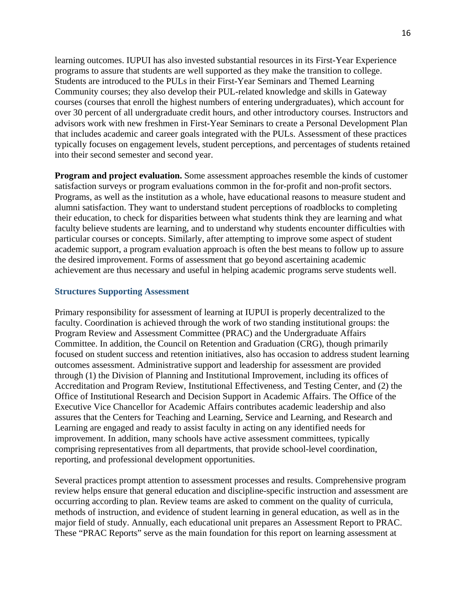learning outcomes. IUPUI has also invested substantial resources in its First-Year Experience programs to assure that students are well supported as they make the transition to college. Students are introduced to the PULs in their First-Year Seminars and Themed Learning Community courses; they also develop their PUL-related knowledge and skills in Gateway courses (courses that enroll the highest numbers of entering undergraduates), which account for over 30 percent of all undergraduate credit hours, and other introductory courses. Instructors and advisors work with new freshmen in First-Year Seminars to create a Personal Development Plan that includes academic and career goals integrated with the PULs. Assessment of these practices typically focuses on engagement levels, student perceptions, and percentages of students retained into their second semester and second year.

**Program and project evaluation.** Some assessment approaches resemble the kinds of customer satisfaction surveys or program evaluations common in the for-profit and non-profit sectors. Programs, as well as the institution as a whole, have educational reasons to measure student and alumni satisfaction. They want to understand student perceptions of roadblocks to completing their education, to check for disparities between what students think they are learning and what faculty believe students are learning, and to understand why students encounter difficulties with particular courses or concepts. Similarly, after attempting to improve some aspect of student academic support, a program evaluation approach is often the best means to follow up to assure the desired improvement. Forms of assessment that go beyond ascertaining academic achievement are thus necessary and useful in helping academic programs serve students well.

#### **Structures Supporting Assessment**

Primary responsibility for assessment of learning at IUPUI is properly decentralized to the faculty. Coordination is achieved through the work of two standing institutional groups: the Program Review and Assessment Committee (PRAC) and the Undergraduate Affairs Committee. In addition, the Council on Retention and Graduation (CRG), though primarily focused on student success and retention initiatives, also has occasion to address student learning outcomes assessment. Administrative support and leadership for assessment are provided through (1) the Division of Planning and Institutional Improvement, including its offices of Accreditation and Program Review, Institutional Effectiveness, and Testing Center, and (2) the Office of Institutional Research and Decision Support in Academic Affairs. The Office of the Executive Vice Chancellor for Academic Affairs contributes academic leadership and also assures that the Centers for Teaching and Learning, Service and Learning, and Research and Learning are engaged and ready to assist faculty in acting on any identified needs for improvement. In addition, many schools have active assessment committees, typically comprising representatives from all departments, that provide school-level coordination, reporting, and professional development opportunities.

Several practices prompt attention to assessment processes and results. Comprehensive program review helps ensure that general education and discipline-specific instruction and assessment are occurring according to plan. Review teams are asked to comment on the quality of curricula, methods of instruction, and evidence of student learning in general education, as well as in the major field of study. Annually, each educational unit prepares an Assessment Report to PRAC. These "PRAC Reports" serve as the main foundation for this report on learning assessment at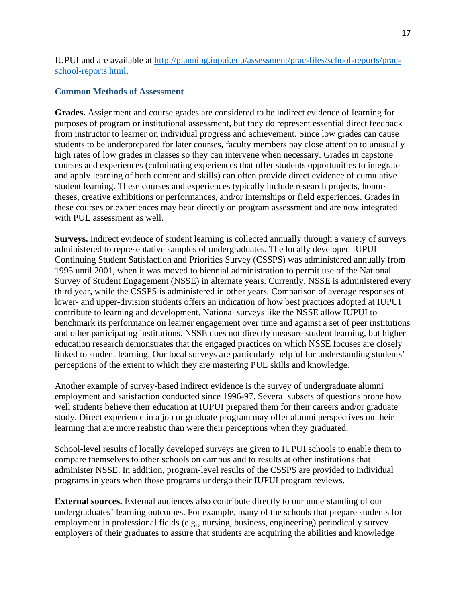IUPUI and are available at http://planning.iupui.edu/assessment/prac-files/school-reports/pracschool-reports.html.

### **Common Methods of Assessment**

**Grades.** Assignment and course grades are considered to be indirect evidence of learning for purposes of program or institutional assessment, but they do represent essential direct feedback from instructor to learner on individual progress and achievement. Since low grades can cause students to be underprepared for later courses, faculty members pay close attention to unusually high rates of low grades in classes so they can intervene when necessary. Grades in capstone courses and experiences (culminating experiences that offer students opportunities to integrate and apply learning of both content and skills) can often provide direct evidence of cumulative student learning. These courses and experiences typically include research projects, honors theses, creative exhibitions or performances, and/or internships or field experiences. Grades in these courses or experiences may bear directly on program assessment and are now integrated with PUL assessment as well.

**Surveys.** Indirect evidence of student learning is collected annually through a variety of surveys administered to representative samples of undergraduates. The locally developed IUPUI Continuing Student Satisfaction and Priorities Survey (CSSPS) was administered annually from 1995 until 2001, when it was moved to biennial administration to permit use of the National Survey of Student Engagement (NSSE) in alternate years. Currently, NSSE is administered every third year, while the CSSPS is administered in other years. Comparison of average responses of lower- and upper-division students offers an indication of how best practices adopted at IUPUI contribute to learning and development. National surveys like the NSSE allow IUPUI to benchmark its performance on learner engagement over time and against a set of peer institutions and other participating institutions. NSSE does not directly measure student learning, but higher education research demonstrates that the engaged practices on which NSSE focuses are closely linked to student learning. Our local surveys are particularly helpful for understanding students' perceptions of the extent to which they are mastering PUL skills and knowledge.

Another example of survey-based indirect evidence is the survey of undergraduate alumni employment and satisfaction conducted since 1996-97. Several subsets of questions probe how well students believe their education at IUPUI prepared them for their careers and/or graduate study. Direct experience in a job or graduate program may offer alumni perspectives on their learning that are more realistic than were their perceptions when they graduated.

School-level results of locally developed surveys are given to IUPUI schools to enable them to compare themselves to other schools on campus and to results at other institutions that administer NSSE. In addition, program-level results of the CSSPS are provided to individual programs in years when those programs undergo their IUPUI program reviews.

**External sources.** External audiences also contribute directly to our understanding of our undergraduates' learning outcomes. For example, many of the schools that prepare students for employment in professional fields (e.g., nursing, business, engineering) periodically survey employers of their graduates to assure that students are acquiring the abilities and knowledge